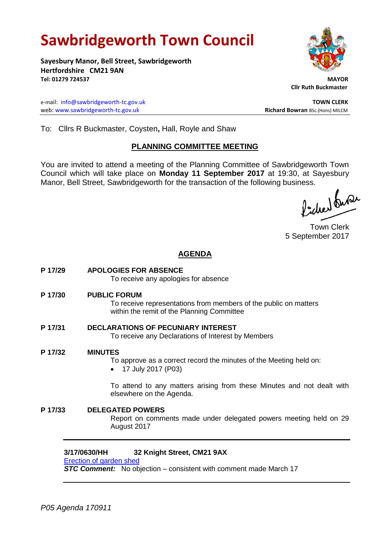# **Sawbridgeworth Town Council**

**Sayesbury Manor, Bell Street, Sawbridgeworth Hertfordshire CM21 9AN Tel: 01279 724537 MAYOR**

e-mail: [info@sawbridgeworth-tc.gov.uk](mailto:info@sawbridgeworth-tc.gov.uk) **TOWN CLERK** web: www.sawbridgeworth-tc.gov.uk<br> **Richard Bowran** BSc.(Hons) MILCM

 **Cllr Ruth Buckmaster** 

To: Cllrs R Buckmaster, Coysten**,** Hall, Royle and Shaw

#### **PLANNING COMMITTEE MEETING**

You are invited to attend a meeting of the Planning Committee of Sawbridgeworth Town Council which will take place on **Monday 11 September 2017** at 19:30, at Sayesbury Manor, Bell Street, Sawbridgeworth for the transaction of the following business.<br>  $\Lambda$ ,  $\Lambda$ ,  $\Lambda$ ,  $\Omega$ 

Town Clerk 5 September 2017

#### **AGENDA**

**P 17/29 APOLOGIES FOR ABSENCE** To receive any apologies for absence **P 17/30 PUBLIC FORUM** To receive representations from members of the public on matters within the remit of the Planning Committee **P 17/31 DECLARATIONS OF PECUNIARY INTEREST** To receive any Declarations of Interest by Members **P 17/32 MINUTES** To approve as a correct record the minutes of the Meeting held on: • 17 July 2017 (P03) To attend to any matters arising from these Minutes and not dealt with elsewhere on the Agenda. **P 17/33 DELEGATED POWERS** Report on comments made under delegated powers meeting held on 29 August 2017

#### **3/17/0630/HH 32 Knight Street, CM21 9AX**

[Erection of garden shed](https://publicaccess.eastherts.gov.uk/online-applications/applicationDetails.do?activeTab=summary&keyVal=OMR4KZGL00X00) **STC Comment:** No objection – consistent with comment made March 17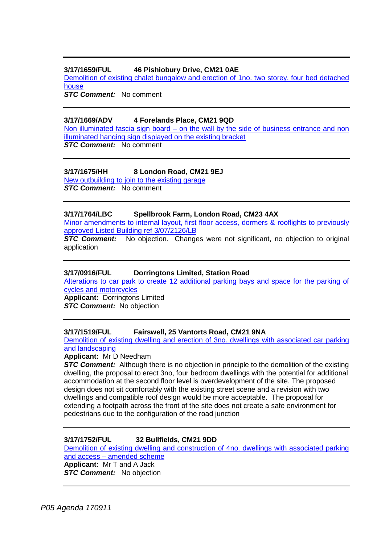#### **3/17/1659/FUL 46 Pishiobury Drive, CM21 0AE**

[Demolition of existing chalet bungalow and erection of 1no. two storey, four bed detached](https://publicaccess.eastherts.gov.uk/online-applications/applicationDetails.do?activeTab=summary&keyVal=OT12VUGL01D00)  [house](https://publicaccess.eastherts.gov.uk/online-applications/applicationDetails.do?activeTab=summary&keyVal=OT12VUGL01D00)

*STC Comment:* No comment

#### **3/17/1669/ADV 4 Forelands Place, CM21 9QD**

Non illuminated fascia sign board – [on the wall by the side of business entrance and non](https://publicaccess.eastherts.gov.uk/online-applications/applicationDetails.do?activeTab=summary&keyVal=OT4E5QGLHPC00)  [illuminated hanging sign displayed on the existing bracket](https://publicaccess.eastherts.gov.uk/online-applications/applicationDetails.do?activeTab=summary&keyVal=OT4E5QGLHPC00) **STC Comment:** No comment

#### **3/17/1675/HH 8 London Road, CM21 9EJ**

[New outbuilding to join to the existing garage](https://publicaccess.eastherts.gov.uk/online-applications/applicationDetails.do?activeTab=summary&keyVal=OT83IOGLHPU00) *STC Comment:* No comment

#### **3/17/1764/LBC Spellbrook Farm, London Road, CM23 4AX**

[Minor amendments to internal layout, first floor access, dormers &](https://publicaccess.eastherts.gov.uk/online-applications/applicationDetails.do?activeTab=summary&keyVal=OTORJCGLHUH00) rooflights to previously [approved Listed Building ref 3/07/2126/LB](https://publicaccess.eastherts.gov.uk/online-applications/applicationDetails.do?activeTab=summary&keyVal=OTORJCGLHUH00)

**STC Comment:** No objection. Changes were not significant, no objection to original application

#### **3/17/0916/FUL Dorringtons Limited, Station Road**

[Alterations to car park to create 12 additional parking bays and space for the parking of](https://publicaccess.eastherts.gov.uk/online-applications/applicationDetails.do?activeTab=summary&keyVal=OOCSE3GLGFA00)  [cycles and motorcycles](https://publicaccess.eastherts.gov.uk/online-applications/applicationDetails.do?activeTab=summary&keyVal=OOCSE3GLGFA00) **Applicant:** Dorringtons Limited

**STC Comment:** No objection

#### **3/17/1519/FUL Fairswell, 25 Vantorts Road, CM21 9NA**

[Demolition of existing dwelling and erection of 3no. dwellings with associated car parking](https://publicaccess.eastherts.gov.uk/online-applications/applicationDetails.do?activeTab=summary&keyVal=OSAV24GL00X00)  [and landscaping](https://publicaccess.eastherts.gov.uk/online-applications/applicationDetails.do?activeTab=summary&keyVal=OSAV24GL00X00)

#### **Applicant:** Mr D Needham

**STC Comment:** Although there is no objection in principle to the demolition of the existing dwelling, the proposal to erect 3no, four bedroom dwellings with the potential for additional accommodation at the second floor level is overdevelopment of the site. The proposed design does not sit comfortably with the existing street scene and a revision with two dwellings and compatible roof design would be more acceptable. The proposal for extending a footpath across the front of the site does not create a safe environment for pedestrians due to the configuration of the road junction

#### **3/17/1752/FUL 32 Bullfields, CM21 9DD**

[Demolition of existing dwelling and construction of 4no. dwellings with associated parking](https://publicaccess.eastherts.gov.uk/online-applications/applicationDetails.do?activeTab=summary&keyVal=OTMWXGGLHTO00)  and access – [amended scheme](https://publicaccess.eastherts.gov.uk/online-applications/applicationDetails.do?activeTab=summary&keyVal=OTMWXGGLHTO00)

**Applicant:** Mr T and A Jack **STC Comment:** No objection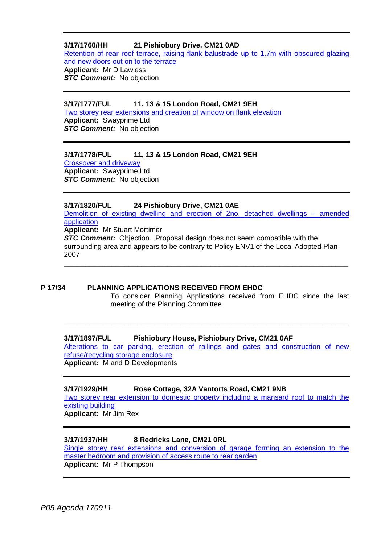#### **3/17/1760/HH 21 Pishiobury Drive, CM21 0AD**

[Retention of rear roof terrace, raising flank balustrade up to 1.7m with obscured glazing](https://publicaccess.eastherts.gov.uk/online-applications/applicationDetails.do?activeTab=summary&keyVal=OTOR1SGL00X00)  [and new doors out on to the terrace](https://publicaccess.eastherts.gov.uk/online-applications/applicationDetails.do?activeTab=summary&keyVal=OTOR1SGL00X00) **Applicant:** Mr D Lawless **STC Comment:** No objection

#### **3/17/1777/FUL 11, 13 & 15 London Road, CM21 9EH**

[Two storey rear extensions and creation of window on flank elevation](https://publicaccess.eastherts.gov.uk/online-applications/applicationDetails.do?activeTab=summary&keyVal=OTQM7BGLHV200) **Applicant:** Swayprime Ltd *STC Comment:* No objection

#### **3/17/1778/FUL 11, 13 & 15 London Road, CM21 9EH**

[Crossover and driveway](https://publicaccess.eastherts.gov.uk/online-applications/applicationDetails.do?activeTab=summary&keyVal=OTQM7NGLHV400) **Applicant:** Swayprime Ltd **STC Comment:** No objection

#### **3/17/1820/FUL 24 Pishiobury Drive, CM21 0AE**

[Demolition of existing dwelling and erection of 2no. detached dwellings –](https://publicaccess.eastherts.gov.uk/online-applications/applicationDetails.do?activeTab=summary&keyVal=OU06OAGLHXI00) amended [application](https://publicaccess.eastherts.gov.uk/online-applications/applicationDetails.do?activeTab=summary&keyVal=OU06OAGLHXI00)

**Applicant:** Mr Stuart Mortimer

**STC Comment:** Objection. Proposal design does not seem compatible with the surrounding area and appears to be contrary to Policy ENV1 of the Local Adopted Plan 2007 **\_\_\_\_\_\_\_\_\_\_\_\_\_\_\_\_\_\_\_\_\_\_\_\_\_\_\_\_\_\_\_\_\_\_\_\_\_\_\_\_\_\_\_\_\_\_\_\_\_\_\_\_\_\_\_\_\_\_\_\_\_\_\_\_\_\_**

**P 17/34 PLANNING APPLICATIONS RECEIVED FROM EHDC** To consider Planning Applications received from EHDC since the last meeting of the Planning Committee

#### **3/17/1897/FUL Pishiobury House, Pishiobury Drive, CM21 0AF**

[Alterations to car parking, erection of railings and gates and construction of new](https://publicaccess.eastherts.gov.uk/online-applications/applicationDetails.do?activeTab=summary&keyVal=OUH5QTGLI2E00)  [refuse/recycling storage enclosure](https://publicaccess.eastherts.gov.uk/online-applications/applicationDetails.do?activeTab=summary&keyVal=OUH5QTGLI2E00) **Applicant:** M and D Developments

**\_\_\_\_\_\_\_\_\_\_\_\_\_\_\_\_\_\_\_\_\_\_\_\_\_\_\_\_\_\_\_\_\_\_\_\_\_\_\_\_\_\_\_\_\_\_\_\_\_\_\_\_\_\_\_\_\_\_\_\_\_\_\_\_\_\_**

#### **3/17/1929/HH Rose Cottage, 32A Vantorts Road, CM21 9NB**

[Two storey rear extension to domestic property including a mansard roof to match the](https://publicaccess.eastherts.gov.uk/online-applications/applicationDetails.do?activeTab=summary&keyVal=OURNJJGLI4N00)  [existing building](https://publicaccess.eastherts.gov.uk/online-applications/applicationDetails.do?activeTab=summary&keyVal=OURNJJGLI4N00)

**Applicant:** Mr Jim Rex

#### **3/17/1937/HH 8 Redricks Lane, CM21 0RL**

[Single storey rear extensions and conversion of garage forming an extension to the](https://publicaccess.eastherts.gov.uk/online-applications/applicationDetails.do?activeTab=summary&keyVal=OUTI8KGLI5A00)  [master bedroom and provision of access route to rear garden](https://publicaccess.eastherts.gov.uk/online-applications/applicationDetails.do?activeTab=summary&keyVal=OUTI8KGLI5A00) **Applicant:** Mr P Thompson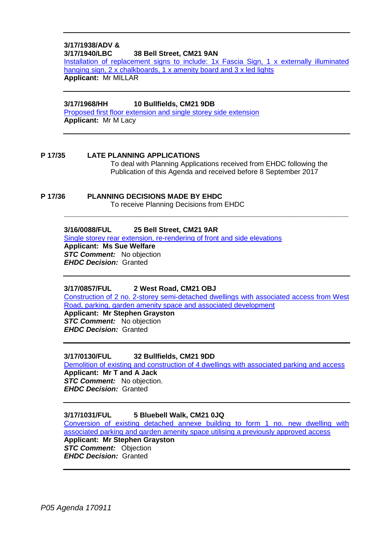#### **3/17/1938/ADV & 38 Bell Street, CM21 9AN**

[Installation of replacement signs to include: 1x Fascia Sign, 1 x externally illuminated](https://publicaccess.eastherts.gov.uk/online-applications/applicationDetails.do?activeTab=summary&keyVal=OUTTAGGLI5H00)  [hanging sign, 2 x chalkboards, 1 x amenity board and 3 x led lights](https://publicaccess.eastherts.gov.uk/online-applications/applicationDetails.do?activeTab=summary&keyVal=OUTTAGGLI5H00) **Applicant:** Mr MILLAR

#### **3/17/1968/HH 10 Bullfields, CM21 9DB**

[Proposed first floor extension and single storey side extension](https://publicaccess.eastherts.gov.uk/online-applications/applicationDetails.do?activeTab=summary&keyVal=OV140RGL00X00) **Applicant:** Mr M Lacy

- **P 17/35 LATE PLANNING APPLICATIONS** To deal with Planning Applications received from EHDC following the Publication of this Agenda and received before 8 September 2017
- **P 17/36 PLANNING DECISIONS MADE BY EHDC** To receive Planning Decisions from EHDC

#### **3/16/0088/FUL 25 Bell Street, CM21 9AR**

[Single storey rear extension, re-rendering of front and side elevations](https://publicaccess.eastherts.gov.uk/online-applications/applicationDetails.do?activeTab=summary&keyVal=O0ZIA3GLI8Z00)

**Applicant: Ms Sue Welfare** *STC Comment:* No objection *EHDC Decision:* Granted

#### **3/17/0857/FUL 2 West Road, CM21 OBJ**

[Construction of 2 no. 2-storey semi-detached dwellings with associated access from West](https://publicaccess.eastherts.gov.uk/online-applications/applicationDetails.do?activeTab=summary&keyVal=OO1DCBGLGCI00)  [Road, parking, garden amenity space and associated development](https://publicaccess.eastherts.gov.uk/online-applications/applicationDetails.do?activeTab=summary&keyVal=OO1DCBGLGCI00)

**\_\_\_\_\_\_\_\_\_\_\_\_\_\_\_\_\_\_\_\_\_\_\_\_\_\_\_\_\_\_\_\_\_\_\_\_\_\_\_\_\_\_\_\_\_\_\_\_\_\_\_\_\_\_\_\_\_\_\_\_\_\_\_\_\_\_**

**Applicant: Mr Stephen Grayston STC Comment:** No objection *EHDC Decision:* Granted

#### **3/17/0130/FUL 32 Bullfields, CM21 9DD**

[Demolition of existing and construction of 4 dwellings with associated parking and access](https://publicaccess.eastherts.gov.uk/online-applications/applicationDetails.do?activeTab=summary&keyVal=OK1028GLMYG00) **Applicant: Mr T and A Jack** *STC Comment:* No objection.

*EHDC Decision:* Granted

#### **3/17/1031/FUL 5 Bluebell Walk, CM21 0JQ**

[Conversion of existing detached annexe building to form 1 no. new dwelling with](https://publicaccess.eastherts.gov.uk/online-applications/applicationDetails.do?activeTab=summary&keyVal=OP89RXGLGMO00)  [associated parking and garden amenity space utilising a previously approved access](https://publicaccess.eastherts.gov.uk/online-applications/applicationDetails.do?activeTab=summary&keyVal=OP89RXGLGMO00)

**Applicant: Mr Stephen Grayston** *STC Comment:* Objection *EHDC Decision:* Granted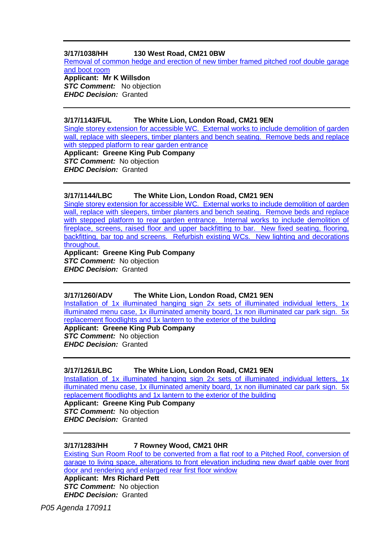#### **3/17/1038/HH 130 West Road, CM21 0BW**

[Removal of common hedge and erection of new timber framed pitched roof double garage](https://publicaccess.eastherts.gov.uk/online-applications/applicationDetails.do?activeTab=summary&keyVal=OPBMXEGL00X00)  [and boot room](https://publicaccess.eastherts.gov.uk/online-applications/applicationDetails.do?activeTab=summary&keyVal=OPBMXEGL00X00)

**Applicant: Mr K Willsdon** *STC Comment:* No objection *EHDC Decision:* Granted

#### **3/17/1143/FUL The White Lion, London Road, CM21 9EN**

[Single storey extension for accessible WC. External works to include demolition of garden](https://publicaccess.eastherts.gov.uk/online-applications/applicationDetails.do?activeTab=summary&keyVal=OQ01QLGLGTG00)  [wall, replace with sleepers, timber planters and bench seating. Remove beds and replace](https://publicaccess.eastherts.gov.uk/online-applications/applicationDetails.do?activeTab=summary&keyVal=OQ01QLGLGTG00)  [with stepped platform to rear garden entrance](https://publicaccess.eastherts.gov.uk/online-applications/applicationDetails.do?activeTab=summary&keyVal=OQ01QLGLGTG00)

**Applicant: Greene King Pub Company** *STC Comment:* No objection *EHDC Decision:* Granted

#### **3/17/1144/LBC The White Lion, London Road, CM21 9EN**

[Single storey extension for accessible WC. External works to include demolition of garden](https://publicaccess.eastherts.gov.uk/online-applications/applicationDetails.do?activeTab=summary&keyVal=OQ01R0GLGTH00)  wall, replace with sleepers, timber planters and bench seating. Remove beds and replace [with stepped platform to rear garden entrance. Internal works to include demolition of](https://publicaccess.eastherts.gov.uk/online-applications/applicationDetails.do?activeTab=summary&keyVal=OQ01R0GLGTH00)  [fireplace, screens, raised floor and upper backfitting to bar. New fixed seating, flooring,](https://publicaccess.eastherts.gov.uk/online-applications/applicationDetails.do?activeTab=summary&keyVal=OQ01R0GLGTH00)  [backfitting, bar top and screens. Refurbish existing WCs. New lighting and decorations](https://publicaccess.eastherts.gov.uk/online-applications/applicationDetails.do?activeTab=summary&keyVal=OQ01R0GLGTH00)  [throughout.](https://publicaccess.eastherts.gov.uk/online-applications/applicationDetails.do?activeTab=summary&keyVal=OQ01R0GLGTH00) **Applicant: Greene King Pub Company**

*STC Comment:* No objection *EHDC Decision:* Granted

#### **3/17/1260/ADV The White Lion, London Road, CM21 9EN**

[Installation of 1x illuminated hanging sign 2x sets of illuminated individual letters, 1x](https://publicaccess.eastherts.gov.uk/online-applications/applicationDetails.do?activeTab=summary&keyVal=OQRIPSGLH1200)  [illuminated menu case, 1x illuminated amenity board, 1x non illuminated car park sign. 5x](https://publicaccess.eastherts.gov.uk/online-applications/applicationDetails.do?activeTab=summary&keyVal=OQRIPSGLH1200)  [replacement floodlights and 1x lantern to the exterior of the building](https://publicaccess.eastherts.gov.uk/online-applications/applicationDetails.do?activeTab=summary&keyVal=OQRIPSGLH1200) **Applicant: Greene King Pub Company**

*STC Comment:* No objection *EHDC Decision:* Granted

#### **3/17/1261/LBC The White Lion, London Road, CM21 9EN**

[Installation of 1x illuminated hanging sign 2x sets of illuminated individual letters, 1x](https://publicaccess.eastherts.gov.uk/online-applications/applicationDetails.do?activeTab=summary&keyVal=OQRIQ2GLH1400)  illuminated menu case, 1x illuminated amenity board, 1x non illuminated car park sign. 5x [replacement floodlights and 1x lantern to the exterior of the building](https://publicaccess.eastherts.gov.uk/online-applications/applicationDetails.do?activeTab=summary&keyVal=OQRIQ2GLH1400)

**Applicant: Greene King Pub Company** *STC Comment:* No objection *EHDC Decision:* Granted

#### **3/17/1283/HH 7 Rowney Wood, CM21 0HR**

[Existing Sun Room Roof to be converted from a flat roof to a Pitched Roof, conversion of](https://publicaccess.eastherts.gov.uk/online-applications/applicationDetails.do?activeTab=summary&keyVal=OQTOKZGLH2300)  [garage to living space, alterations to front elevation including new dwarf gable over front](https://publicaccess.eastherts.gov.uk/online-applications/applicationDetails.do?activeTab=summary&keyVal=OQTOKZGLH2300)  [door and rendering and enlarged rear first floor window](https://publicaccess.eastherts.gov.uk/online-applications/applicationDetails.do?activeTab=summary&keyVal=OQTOKZGLH2300)

**Applicant: Mrs Richard Pett** *STC Comment:* No objection *EHDC Decision:* Granted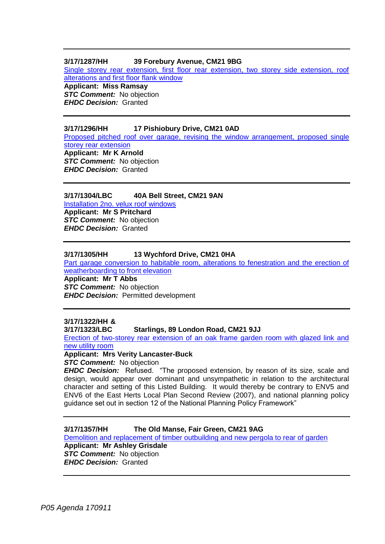#### **3/17/1287/HH 39 Forebury Avenue, CM21 9BG**

[Single storey rear extension, first floor rear extension, two storey side extension, roof](https://publicaccess.eastherts.gov.uk/online-applications/applicationDetails.do?activeTab=summary&keyVal=OQV7YMGLH2900)  [alterations and first floor flank window](https://publicaccess.eastherts.gov.uk/online-applications/applicationDetails.do?activeTab=summary&keyVal=OQV7YMGLH2900) **Applicant: Miss Ramsay**

*STC Comment:* No objection *EHDC Decision:* Granted

#### **3/17/1296/HH 17 Pishiobury Drive, CM21 0AD**

[Proposed pitched roof over garage, revising the window arrangement, proposed single](https://publicaccess.eastherts.gov.uk/online-applications/applicationDetails.do?activeTab=summary&keyVal=OQYM79GLH2Y00)  [storey rear extension](https://publicaccess.eastherts.gov.uk/online-applications/applicationDetails.do?activeTab=summary&keyVal=OQYM79GLH2Y00) **Applicant: Mr K Arnold** *STC Comment:* No objection *EHDC Decision:* Granted

#### **3/17/1304/LBC 40A Bell Street, CM21 9AN**

[Installation 2no. velux roof windows](https://publicaccess.eastherts.gov.uk/online-applications/applicationDetails.do?activeTab=summary&keyVal=OR2M7IGL00X00)

**Applicant: Mr S Pritchard** *STC Comment:* No objection *EHDC Decision:* Granted

#### **3/17/1305/HH 13 Wychford Drive, CM21 0HA**

[Part garage conversion to habitable room, alterations to fenestration and the erection of](https://publicaccess.eastherts.gov.uk/online-applications/applicationDetails.do?activeTab=summary&keyVal=OR2MBFGL00X00)  [weatherboarding to front elevation](https://publicaccess.eastherts.gov.uk/online-applications/applicationDetails.do?activeTab=summary&keyVal=OR2MBFGL00X00)

**Applicant: Mr T Abbs** *STC Comment:* No objection *EHDC Decision:* Permitted development

## **3/17/1322/HH &**

#### **Starlings, 89 London Road, CM21 9JJ**

[Erection of two-storey rear extension of an oak frame garden room with glazed link and](https://publicaccess.eastherts.gov.uk/online-applications/applicationDetails.do?activeTab=summary&keyVal=OR4SGJGLH4G00)  [new utility room](https://publicaccess.eastherts.gov.uk/online-applications/applicationDetails.do?activeTab=summary&keyVal=OR4SGJGLH4G00)

**Applicant: Mrs Verity Lancaster-Buck**

*STC Comment:* No objection

*EHDC Decision:* Refused. "The proposed extension, by reason of its size, scale and design, would appear over dominant and unsympathetic in relation to the architectural character and setting of this Listed Building. It would thereby be contrary to ENV5 and ENV6 of the East Herts Local Plan Second Review (2007), and national planning policy guidance set out in section 12 of the National Planning Policy Framework"

#### **3/17/1357/HH The Old Manse, Fair Green, CM21 9AG**

[Demolition and replacement of timber outbuilding and new pergola to rear of garden](https://publicaccess.eastherts.gov.uk/online-applications/applicationDetails.do?activeTab=summary&keyVal=ORACFLGLH6M00) **Applicant: Mr Ashley Grisdale** *STC Comment:* No objection *EHDC Decision:* Granted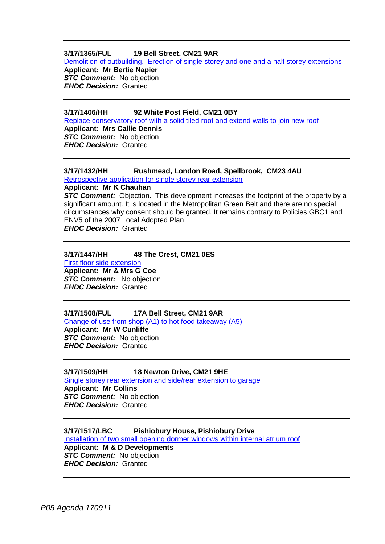#### **3/17/1365/FUL 19 Bell Street, CM21 9AR**

[Demolition of outbuilding. Erection of single storey and one and a half storey extensions](https://publicaccess.eastherts.gov.uk/online-applications/applicationDetails.do?activeTab=summary&keyVal=ORFLCBGLH7F00)

**Applicant: Mr Bertie Napier** *STC Comment:* No objection *EHDC Decision:* Granted

#### **3/17/1406/HH 92 White Post Field, CM21 0BY**

[Replace conservatory roof with a solid tiled roof and extend](https://publicaccess.eastherts.gov.uk/online-applications/applicationDetails.do?activeTab=summary&keyVal=ORMZZ7GLH9Y00) walls to join new roof **Applicant: Mrs Callie Dennis** *STC Comment:* No objection *EHDC Decision:* Granted

### **3/17/1432/HH Rushmead, London Road, Spellbrook, CM23 4AU**

[Retrospective application for single storey rear extension](https://publicaccess.eastherts.gov.uk/online-applications/applicationDetails.do?activeTab=summary&keyVal=ORUEMKGLHBG00)

**Applicant: Mr K Chauhan**

**STC Comment:** Objection. This development increases the footprint of the property by a significant amount. It is located in the Metropolitan Green Belt and there are no special circumstances why consent should be granted. It remains contrary to Policies GBC1 and ENV5 of the 2007 Local Adopted Plan

*EHDC Decision:* Granted

#### **3/17/1447/HH 48 The Crest, CM21 0ES**

[First floor side extension](https://publicaccess.eastherts.gov.uk/online-applications/applicationDetails.do?activeTab=summary&keyVal=ORW5JLGL00X00) **Applicant: Mr & Mrs G Coe** *STC Comment:* No objection *EHDC Decision:* Granted

#### **3/17/1508/FUL 17A Bell Street, CM21 9AR**

[Change of use from shop \(A1\) to hot food takeaway \(A5\)](https://publicaccess.eastherts.gov.uk/online-applications/applicationDetails.do?activeTab=summary&keyVal=OS7KHRGL00X00) **Applicant: Mr W Cunliffe** *STC Comment:* No objection *EHDC Decision:* Granted

#### **3/17/1509/HH 18 Newton Drive, CM21 9HE**

[Single storey rear extension and side/rear extension to](https://publicaccess.eastherts.gov.uk/online-applications/applicationDetails.do?activeTab=summary&keyVal=OS7KNOGL00X00) garage **Applicant: Mr Collins** *STC Comment:* No objection *EHDC Decision:* Granted

#### **3/17/1517/LBC Pishiobury House, Pishiobury Drive** [Installation of two small opening dormer windows within internal atrium roof](https://publicaccess.eastherts.gov.uk/online-applications/applicationDetails.do?activeTab=summary&keyVal=OSARHKGLHGQ00) **Applicant: M & D Developments** *STC Comment:* No objection *EHDC Decision:* Granted